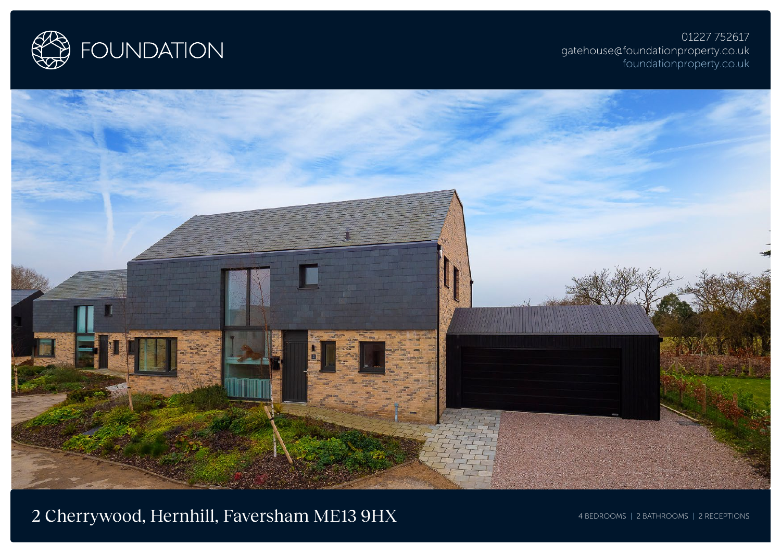

01227 752617 gatehouse@foundationproperty.co.uk foundationproperty.co.uk



2 Cherrywood, Hernhill, Faversham ME13 9HX 4 BEDROOMS | 2 BATHROOMS | 2 RECEPTIONS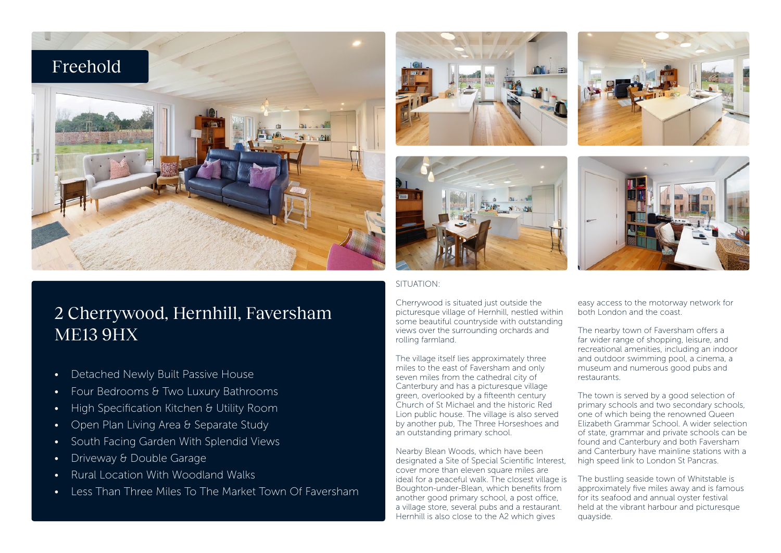

# 2 Cherrywood, Hernhill, Faversham ME13 9HX

- Detached Newly Built Passive House
- Four Bedrooms & Two Luxury Bathrooms
- High Specification Kitchen & Utility Room
- Open Plan Living Area & Separate Study
- South Facing Garden With Splendid Views
- Driveway & Double Garage
- Rural Location With Woodland Walks
- Less Than Three Miles To The Market Town Of Faversham





# SITUATION:

Cherrywood is situated just outside the picturesque village of Hernhill, nestled within some beautiful countryside with outstanding views over the surrounding orchards and rolling farmland.

The village itself lies approximately three miles to the east of Faversham and only seven miles from the cathedral city of Canterbury and has a picturesque village green, overlooked by a fifteenth century Church of St Michael and the historic Red Lion public house. The village is also served by another pub, The Three Horseshoes and an outstanding primary school.

Nearby Blean Woods, which have been designated a Site of Special Scientific Interest, cover more than eleven square miles are ideal for a peaceful walk. The closest village is Boughton-under-Blean, which benefits from another good primary school, a post office, a village store, several pubs and a restaurant. Hernhill is also close to the A2 which gives





easy access to the motorway network for both London and the coast.

The nearby town of Faversham offers a far wider range of shopping, leisure, and recreational amenities, including an indoor and outdoor swimming pool, a cinema, a museum and numerous good pubs and restaurants.

The town is served by a good selection of primary schools and two secondary schools, one of which being the renowned Queen Elizabeth Grammar School. A wider selection of state, grammar and private schools can be found and Canterbury and both Faversham and Canterbury have mainline stations with a high speed link to London St Pancras.

The bustling seaside town of Whitstable is approximately five miles away and is famous for its seafood and annual oyster festival held at the vibrant harbour and picturesque quayside.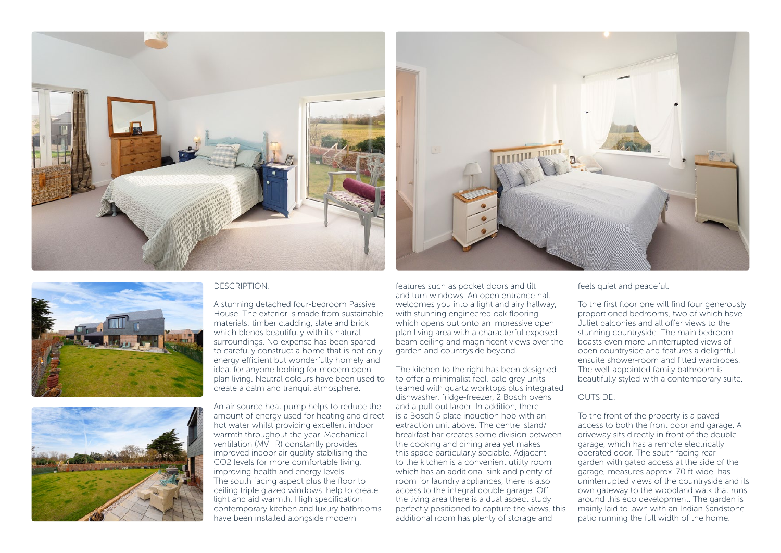





## DESCRIPTION:

A stunning detached four-bedroom Passive House. The exterior is made from sustainable materials; timber cladding, slate and brick which blends beautifully with its natural surroundings. No expense has been spared to carefully construct a home that is not only energy efficient but wonderfully homely and ideal for anyone looking for modern open plan living. Neutral colours have been used to create a calm and tranquil atmosphere.

An air source heat pump helps to reduce the amount of energy used for heating and direct hot water whilst providing excellent indoor warmth throughout the year. Mechanical ventilation (MVHR) constantly provides improved indoor air quality stabilising the CO<sub>2</sub> levels for more comfortable living improving health and energy levels. The south facing aspect plus the floor to ceiling triple glazed windows. help to create light and aid warmth. High specification contemporary kitchen and luxury bathrooms have been installed alongside modern

features such as pocket doors and tilt and turn windows. An open entrance hall welcomes you into a light and airy hallway, with stunning engineered oak flooring which opens out onto an impressive open plan living area with a characterful exposed beam ceiling and magnificent views over the garden and countryside beyond.

The kitchen to the right has been designed to offer a minimalist feel, pale grey units teamed with quartz worktops plus integrated dishwasher, fridge-freezer, 2 Bosch ovens and a pull-out larder. In addition, there is a Bosch 5 plate induction hob with an extraction unit above. The centre island/ breakfast bar creates some division between the cooking and dining area yet makes this space particularly sociable. Adjacent to the kitchen is a convenient utility room which has an additional sink and plenty of room for laundry appliances, there is also access to the integral double garage. Off the living area there is a dual aspect study perfectly positioned to capture the views, this additional room has plenty of storage and

feels quiet and peaceful.

To the first floor one will find four generously proportioned bedrooms, two of which have Juliet balconies and all offer views to the stunning countryside. The main bedroom boasts even more uninterrupted views of open countryside and features a delightful ensuite shower-room and fitted wardrobes. The well-appointed family bathroom is beautifully styled with a contemporary suite.

### OUTSIDE:

To the front of the property is a paved access to both the front door and garage. A driveway sits directly in front of the double garage, which has a remote electrically operated door. The south facing rear garden with gated access at the side of the garage, measures approx. 70 ft wide, has uninterrupted views of the countryside and its own gateway to the woodland walk that runs around this eco development. The garden is mainly laid to lawn with an Indian Sandstone patio running the full width of the home.